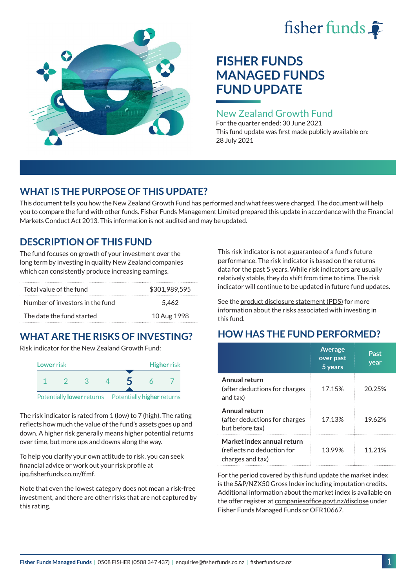# fisher funds  $\hat{\bullet}$



# **FISHER FUNDS MANAGED FUNDS FUND UPDATE**

## New Zealand Growth Fund

For the quarter ended: 30 June 2021 This fund update was first made publicly available on: 28 July 2021

# **WHAT IS THE PURPOSE OF THIS UPDATE?**

This document tells you how the New Zealand Growth Fund has performed and what fees were charged. The document will help you to compare the fund with other funds. Fisher Funds Management Limited prepared this update in accordance with the Financial Markets Conduct Act 2013. This information is not audited and may be updated.

# **DESCRIPTION OF THIS FUND**

The fund focuses on growth of your investment over the long term by investing in quality New Zealand companies which can consistently produce increasing earnings.

| Total value of the fund         | \$301,989,595 |
|---------------------------------|---------------|
| Number of investors in the fund | 5.462         |
| The date the fund started       | 10 Aug 1998   |

# **WHAT ARE THE RISKS OF INVESTING?**

Risk indicator for the New Zealand Growth Fund:



The risk indicator is rated from 1 (low) to 7 (high). The rating reflects how much the value of the fund's assets goes up and down. A higher risk generally means higher potential returns over time, but more ups and downs along the way.

To help you clarify your own attitude to risk, you can seek financial advice or work out your risk profile at [ipq.fisherfunds.co.nz/ffmf](https://ipq.fisherfunds.co.nz/ffmf).

Note that even the lowest category does not mean a risk-free investment, and there are other risks that are not captured by this rating.

This risk indicator is not a guarantee of a fund's future performance. The risk indicator is based on the returns data for the past 5 years. While risk indicators are usually relatively stable, they do shift from time to time. The risk indicator will continue to be updated in future fund updates.

See the [product disclosure statement \(PDS\)](https://fisherfunds.co.nz/assets/PDS/Fisher-Funds-Managed-Funds-PDS.pdf) for more information about the risks associated with investing in this fund.

# **HOW HAS THE FUND PERFORMED?**

|                                                                              | <b>Average</b><br>over past<br>5 years | Past<br>year |
|------------------------------------------------------------------------------|----------------------------------------|--------------|
| Annual return<br>(after deductions for charges<br>and tax)                   | 17.15%                                 | 20.25%       |
| Annual return<br>(after deductions for charges<br>but before tax)            | 17.13%                                 | 19.62%       |
| Market index annual return<br>(reflects no deduction for<br>charges and tax) | 13.99%                                 | 11.21%       |

For the period covered by this fund update the market index is the S&P/NZX50 Gross Index including imputation credits. Additional information about the market index is available on the offer register at [companiesoffice.govt.nz/disclose](http://companiesoffice.govt.nz/disclose) under Fisher Funds Managed Funds or OFR10667.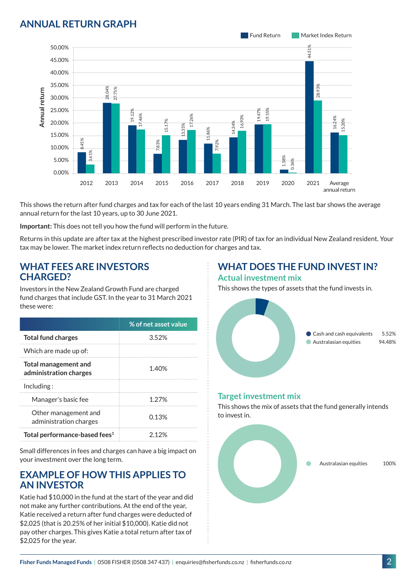## **ANNUAL RETURN GRAPH**



This shows the return after fund charges and tax for each of the last 10 years ending 31 March. The last bar shows the average annual return for the last 10 years, up to 30 June 2021.

**Important:** This does not tell you how the fund will perform in the future.

Returns in this update are after tax at the highest prescribed investor rate (PIR) of tax for an individual New Zealand resident. Your tax may be lower. The market index return reflects no deduction for charges and tax.

#### **WHAT FEES ARE INVESTORS CHARGED?**

Investors in the New Zealand Growth Fund are charged fund charges that include GST. In the year to 31 March 2021 these were:

|                                                       | % of net asset value |
|-------------------------------------------------------|----------------------|
| <b>Total fund charges</b>                             | 352%                 |
| Which are made up of:                                 |                      |
| <b>Total management and</b><br>administration charges | 1.40%                |
| Inding:                                               |                      |
| Manager's basic fee                                   | 1 27%                |
| Other management and<br>administration charges        | 0.13%                |
| Total performance-based fees <sup>1</sup>             | ን 12%                |

Small differences in fees and charges can have a big impact on your investment over the long term.

#### **EXAMPLE OF HOW THIS APPLIES TO AN INVESTOR**

Katie had \$10,000 in the fund at the start of the year and did not make any further contributions. At the end of the year, Katie received a return after fund charges were deducted of \$2,025 (that is 20.25% of her initial \$10,000). Katie did not pay other charges. This gives Katie a total return after tax of \$2,025 for the year.

#### **WHAT DOES THE FUND INVEST IN? Actual investment mix**

This shows the types of assets that the fund invests in.



#### **Target investment mix**

This shows the mix of assets that the fund generally intends to invest in.